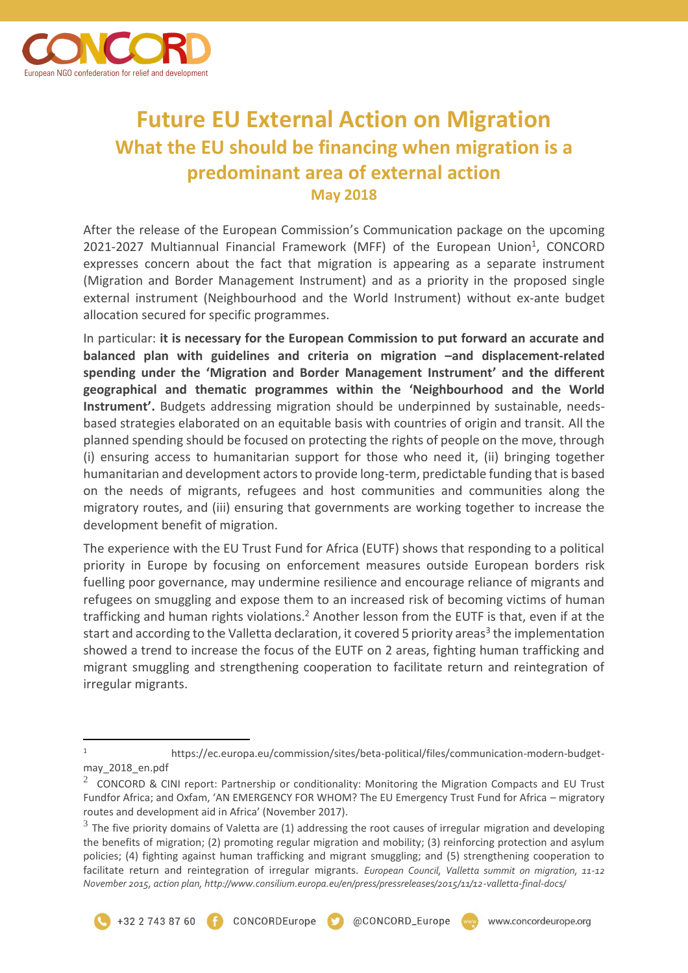

## **Future EU External Action on Migration What the EU should be financing when migration is a predominant area of external action May 2018**

After the release of the European Commission's Communication package on the upcoming 2021-2027 Multiannual Financial Framework (MFF) of the European Union<sup>1</sup>, CONCORD expresses concern about the fact that migration is appearing as a separate instrument (Migration and Border Management Instrument) and as a priority in the proposed single external instrument (Neighbourhood and the World Instrument) without ex-ante budget allocation secured for specific programmes.

In particular: **it is necessary for the European Commission to put forward an accurate and balanced plan with guidelines and criteria on migration –and displacement-related spending under the 'Migration and Border Management Instrument' and the different geographical and thematic programmes within the 'Neighbourhood and the World Instrument'.** Budgets addressing migration should be underpinned by sustainable, needsbased strategies elaborated on an equitable basis with countries of origin and transit. All the planned spending should be focused on protecting the rights of people on the move, through (i) ensuring access to humanitarian support for those who need it, (ii) bringing together humanitarian and development actors to provide long-term, predictable funding that is based on the needs of migrants, refugees and host communities and communities along the migratory routes, and (iii) ensuring that governments are working together to increase the development benefit of migration.

The experience with the EU Trust Fund for Africa (EUTF) shows that responding to a political priority in Europe by focusing on enforcement measures outside European borders risk fuelling poor governance, may undermine resilience and encourage reliance of migrants and refugees on smuggling and expose them to an increased risk of becoming victims of human trafficking and human rights violations.<sup>2</sup> Another lesson from the EUTF is that, even if at the start and according to the Valletta declaration, it covered 5 priority areas<sup>3</sup> the implementation showed a trend to increase the focus of the EUTF on 2 areas, fighting human trafficking and migrant smuggling and strengthening cooperation to facilitate return and reintegration of irregular migrants.

 $\overline{a}$ 



<sup>1</sup> https://ec.europa.eu/commission/sites/beta-political/files/communication-modern-budgetmay\_2018\_en.pdf

<sup>&</sup>lt;sup>2</sup> CONCORD & CINI report: Partnership or conditionality: Monitoring the Migration Compacts and EU Trust Fundfor Africa; and Oxfam, 'AN EMERGENCY FOR WHOM? The EU Emergency Trust Fund for Africa – migratory routes and development aid in Africa' (November 2017).

 $^3$  The five priority domains of Valetta are (1) addressing the root causes of irregular migration and developing the benefits of migration; (2) promoting regular migration and mobility; (3) reinforcing protection and asylum policies; (4) fighting against human trafficking and migrant smuggling; and (5) strengthening cooperation to facilitate return and reintegration of irregular migrants. *European Council, Valletta summit on migration, 11-12 November 2015, action plan, http://www.consilium.europa.eu/en/press/pressreleases/2015/11/12-valletta-final-docs/*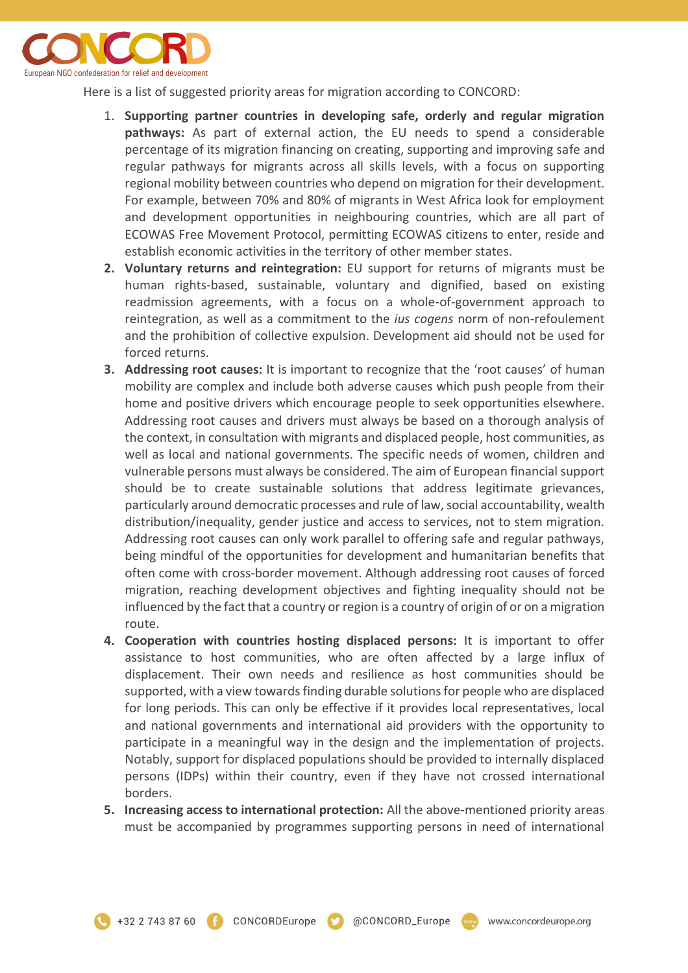

Here is a list of suggested priority areas for migration according to CONCORD:

- 1. **Supporting partner countries in developing safe, orderly and regular migration pathways:** As part of external action, the EU needs to spend a considerable percentage of its migration financing on creating, supporting and improving safe and regular pathways for migrants across all skills levels, with a focus on supporting regional mobility between countries who depend on migration for their development. For example, between 70% and 80% of migrants in West Africa look for employment and development opportunities in neighbouring countries, which are all part of ECOWAS Free Movement Protocol, permitting ECOWAS citizens to enter, reside and establish economic activities in the territory of other member states.
- **2. Voluntary returns and reintegration:** EU support for returns of migrants must be human rights-based, sustainable, voluntary and dignified, based on existing readmission agreements, with a focus on a whole-of-government approach to reintegration, as well as a commitment to the *ius cogens* norm of non-refoulement and the prohibition of collective expulsion. Development aid should not be used for forced returns.
- **3. Addressing root causes:** It is important to recognize that the 'root causes' of human mobility are complex and include both adverse causes which push people from their home and positive drivers which encourage people to seek opportunities elsewhere. Addressing root causes and drivers must always be based on a thorough analysis of the context, in consultation with migrants and displaced people, host communities, as well as local and national governments. The specific needs of women, children and vulnerable persons must always be considered. The aim of European financial support should be to create sustainable solutions that address legitimate grievances, particularly around democratic processes and rule of law, social accountability, wealth distribution/inequality, gender justice and access to services, not to stem migration. Addressing root causes can only work parallel to offering safe and regular pathways, being mindful of the opportunities for development and humanitarian benefits that often come with cross-border movement. Although addressing root causes of forced migration, reaching development objectives and fighting inequality should not be influenced by the fact that a country or region is a country of origin of or on a migration route.
- **4. Cooperation with countries hosting displaced persons:** It is important to offer assistance to host communities, who are often affected by a large influx of displacement. Their own needs and resilience as host communities should be supported, with a view towards finding durable solutions for people who are displaced for long periods. This can only be effective if it provides local representatives, local and national governments and international aid providers with the opportunity to participate in a meaningful way in the design and the implementation of projects. Notably, support for displaced populations should be provided to internally displaced persons (IDPs) within their country, even if they have not crossed international borders.
- **5. Increasing access to international protection:** All the above-mentioned priority areas must be accompanied by programmes supporting persons in need of international

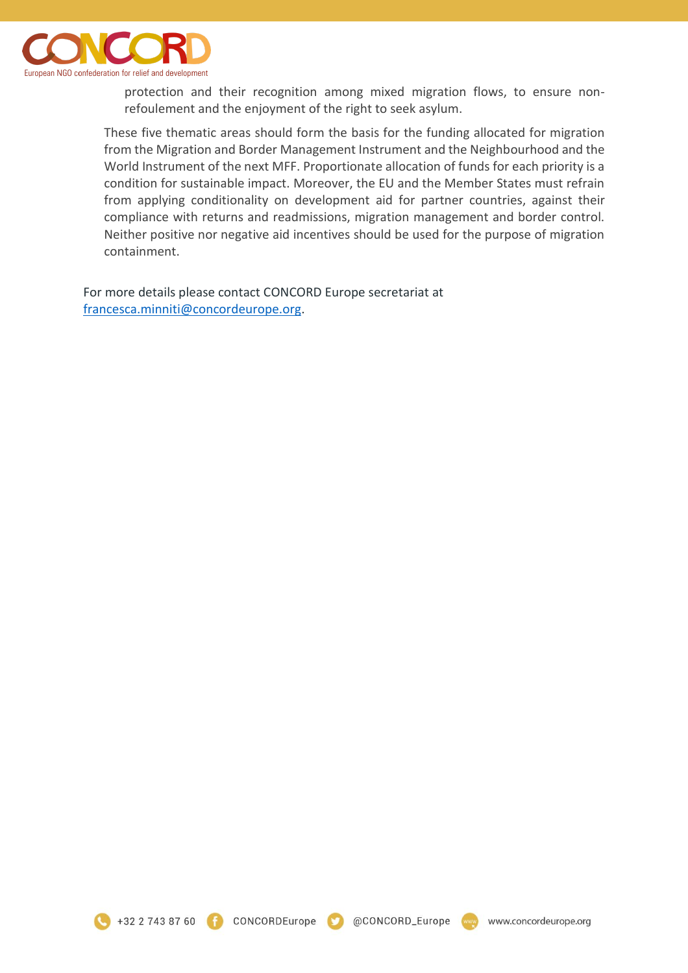

protection and their recognition among mixed migration flows, to ensure nonrefoulement and the enjoyment of the right to seek asylum.

These five thematic areas should form the basis for the funding allocated for migration from the Migration and Border Management Instrument and the Neighbourhood and the World Instrument of the next MFF. Proportionate allocation of funds for each priority is a condition for sustainable impact. Moreover, the EU and the Member States must refrain from applying conditionality on development aid for partner countries, against their compliance with returns and readmissions, migration management and border control. Neither positive nor negative aid incentives should be used for the purpose of migration containment.

For more details please contact CONCORD Europe secretariat at [francesca.minniti@concordeurope.org.](mailto:francesca.minniti@concordeurope.org)